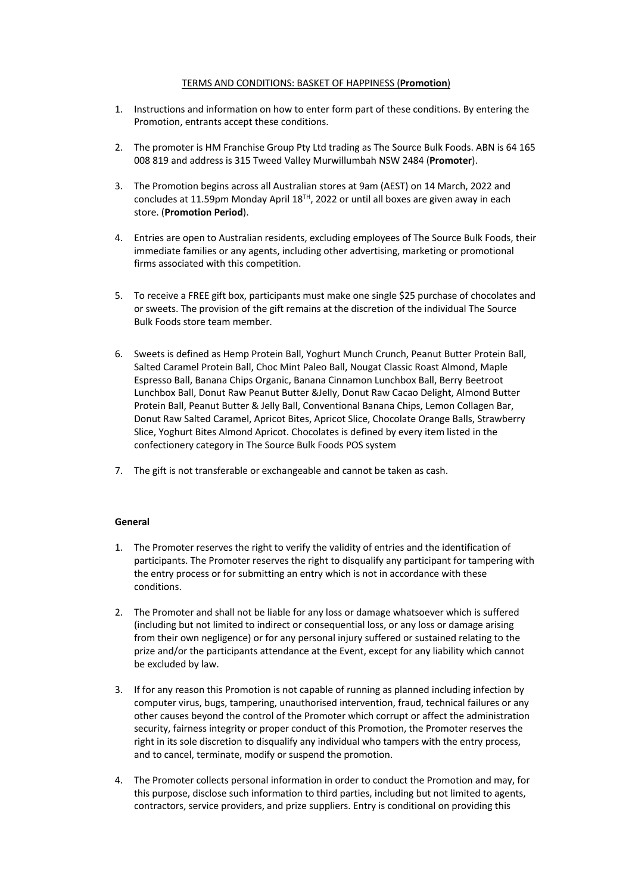## TERMS AND CONDITIONS: BASKET OF HAPPINESS (**Promotion**)

- 1. Instructions and information on how to enter form part of these conditions. By entering the Promotion, entrants accept these conditions.
- 2. The promoter is HM Franchise Group Pty Ltd trading as The Source Bulk Foods. ABN is 64 165 008 819 and address is 315 Tweed Valley Murwillumbah NSW 2484 (**Promoter**).
- 3. The Promotion begins across all Australian stores at 9am (AEST) on 14 March, 2022 and concludes at 11.59pm Monday April  $18^{TH}$ , 2022 or until all boxes are given away in each store. (**Promotion Period**).
- 4. Entries are open to Australian residents, excluding employees of The Source Bulk Foods, their immediate families or any agents, including other advertising, marketing or promotional firms associated with this competition.
- 5. To receive a FREE gift box, participants must make one single \$25 purchase of chocolates and or sweets. The provision of the gift remains at the discretion of the individual The Source Bulk Foods store team member.
- 6. Sweets is defined as Hemp Protein Ball, Yoghurt Munch Crunch, Peanut Butter Protein Ball, Salted Caramel Protein Ball, Choc Mint Paleo Ball, Nougat Classic Roast Almond, Maple Espresso Ball, Banana Chips Organic, Banana Cinnamon Lunchbox Ball, Berry Beetroot Lunchbox Ball, Donut Raw Peanut Butter &Jelly, Donut Raw Cacao Delight, Almond Butter Protein Ball, Peanut Butter & Jelly Ball, Conventional Banana Chips, Lemon Collagen Bar, Donut Raw Salted Caramel, Apricot Bites, Apricot Slice, Chocolate Orange Balls, Strawberry Slice, Yoghurt Bites Almond Apricot. Chocolates is defined by every item listed in the confectionery category in The Source Bulk Foods POS system
- 7. The gift is not transferable or exchangeable and cannot be taken as cash.

## **General**

- 1. The Promoter reserves the right to verify the validity of entries and the identification of participants. The Promoter reserves the right to disqualify any participant for tampering with the entry process or for submitting an entry which is not in accordance with these conditions.
- 2. The Promoter and shall not be liable for any loss or damage whatsoever which is suffered (including but not limited to indirect or consequential loss, or any loss or damage arising from their own negligence) or for any personal injury suffered or sustained relating to the prize and/or the participants attendance at the Event, except for any liability which cannot be excluded by law.
- 3. If for any reason this Promotion is not capable of running as planned including infection by computer virus, bugs, tampering, unauthorised intervention, fraud, technical failures or any other causes beyond the control of the Promoter which corrupt or affect the administration security, fairness integrity or proper conduct of this Promotion, the Promoter reserves the right in its sole discretion to disqualify any individual who tampers with the entry process, and to cancel, terminate, modify or suspend the promotion.
- 4. The Promoter collects personal information in order to conduct the Promotion and may, for this purpose, disclose such information to third parties, including but not limited to agents, contractors, service providers, and prize suppliers. Entry is conditional on providing this